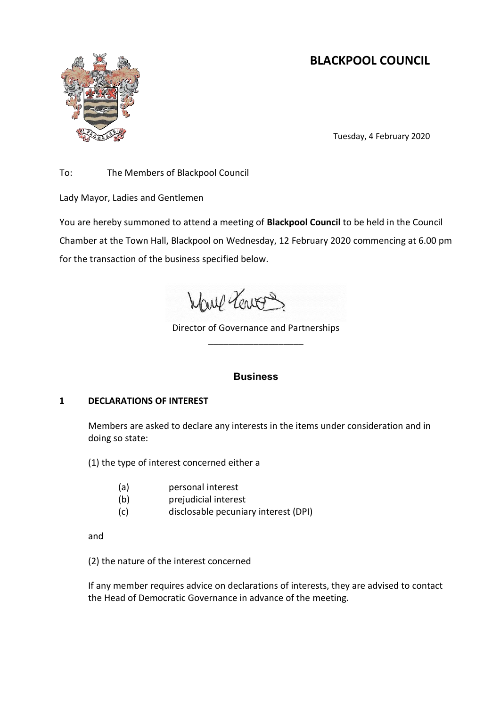# **BLACKPOOL COUNCIL**



Tuesday, 4 February 2020

To: The Members of Blackpool Council

Lady Mayor, Ladies and Gentlemen

You are hereby summoned to attend a meeting of **Blackpool Council** to be held in the Council Chamber at the Town Hall, Blackpool on Wednesday, 12 February 2020 commencing at 6.00 pm for the transaction of the business specified below.

Wave Vervos

Director of Governance and Partnerships \_\_\_\_\_\_\_\_\_\_\_\_\_\_\_\_\_\_\_

# **Business**

# **1 DECLARATIONS OF INTEREST**

Members are asked to declare any interests in the items under consideration and in doing so state:

(1) the type of interest concerned either a

- (a) personal interest
- (b) prejudicial interest
- (c) disclosable pecuniary interest (DPI)

and

(2) the nature of the interest concerned

If any member requires advice on declarations of interests, they are advised to contact the Head of Democratic Governance in advance of the meeting.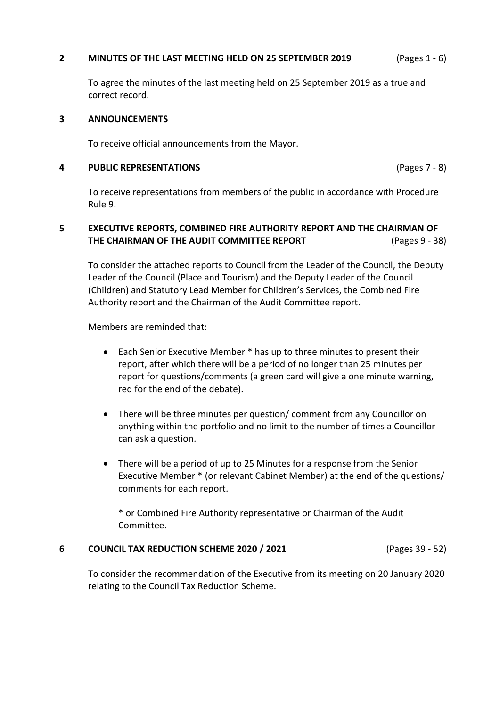## **2 MINUTES OF THE LAST MEETING HELD ON 25 SEPTEMBER 2019** (Pages 1 - 6)

To agree the minutes of the last meeting held on 25 September 2019 as a true and correct record.

## **3 ANNOUNCEMENTS**

To receive official announcements from the Mayor.

## **4 PUBLIC REPRESENTATIONS** (Pages 7 - 8)

To receive representations from members of the public in accordance with Procedure Rule 9.

# **5 EXECUTIVE REPORTS, COMBINED FIRE AUTHORITY REPORT AND THE CHAIRMAN OF THE CHAIRMAN OF THE AUDIT COMMITTEE REPORT** (Pages 9 - 38)

To consider the attached reports to Council from the Leader of the Council, the Deputy Leader of the Council (Place and Tourism) and the Deputy Leader of the Council (Children) and Statutory Lead Member for Children's Services, the Combined Fire Authority report and the Chairman of the Audit Committee report.

Members are reminded that:

- Each Senior Executive Member \* has up to three minutes to present their report, after which there will be a period of no longer than 25 minutes per report for questions/comments (a green card will give a one minute warning, red for the end of the debate).
- There will be three minutes per question/ comment from any Councillor on anything within the portfolio and no limit to the number of times a Councillor can ask a question.
- There will be a period of up to 25 Minutes for a response from the Senior Executive Member \* (or relevant Cabinet Member) at the end of the questions/ comments for each report.

\* or Combined Fire Authority representative or Chairman of the Audit Committee.

# **6 COUNCIL TAX REDUCTION SCHEME 2020 / 2021** (Pages 39 - 52)

To consider the recommendation of the Executive from its meeting on 20 January 2020 relating to the Council Tax Reduction Scheme.